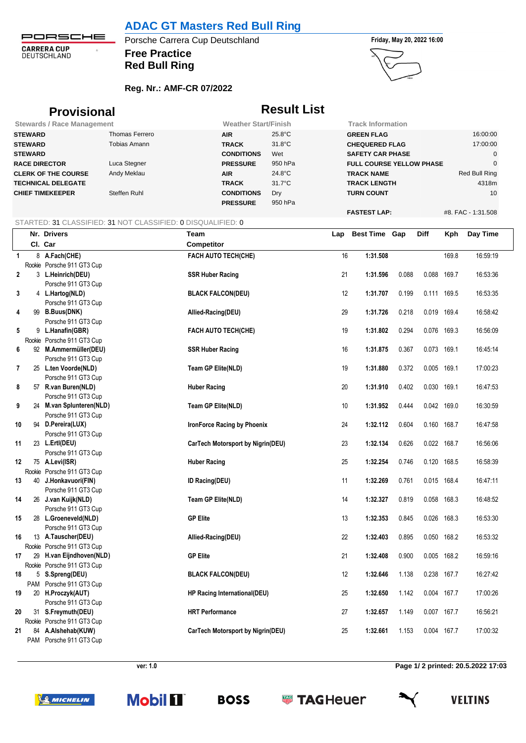**ADAC GT Masters Red Bull Ring**

PORSCHE **CARRERA CUP**<br>DEUTSCHLAND  $\hat{\sigma}$ 

## **Free Practice** Porsche Carrera Cup Deutschland **Finday, May 20, 2022 16:00 Red Bull Ring**





**FASTEST LAP:** #8. FAC - 1:31.508

## **Reg. Nr.: AMF-CR 07/2022**

| <b>Provisional</b><br><b>Stewards / Race Management</b> |                |                             | <b>Result List</b> |                                 |               |  |
|---------------------------------------------------------|----------------|-----------------------------|--------------------|---------------------------------|---------------|--|
|                                                         |                | <b>Weather Start/Finish</b> |                    | <b>Track Information</b>        |               |  |
| <b>STEWARD</b>                                          | Thomas Ferrero | <b>AIR</b>                  | $25.8^{\circ}$ C   | <b>GREEN FLAG</b>               | 16:00:00      |  |
| <b>STEWARD</b>                                          | Tobias Amann   | <b>TRACK</b>                | $31.8^{\circ}$ C   | <b>CHEQUERED FLAG</b>           | 17:00:00      |  |
| <b>STEWARD</b>                                          |                | <b>CONDITIONS</b>           | Wet                | <b>SAFETY CAR PHASE</b>         | 0             |  |
| <b>RACE DIRECTOR</b>                                    | Luca Stegner   | <b>PRESSURE</b>             | 950 hPa            | <b>FULL COURSE YELLOW PHASE</b> | $\mathbf 0$   |  |
| <b>CLERK OF THE COURSE</b>                              | Andy Meklau    | <b>AIR</b>                  | $24.8^{\circ}$ C   | <b>TRACK NAME</b>               | Red Bull Ring |  |
| <b>TECHNICAL DELEGATE</b>                               |                | <b>TRACK</b>                | $31.7^{\circ}$ C   | <b>TRACK LENGTH</b>             | 4318m         |  |
| <b>CHIEF TIMEKEEPER</b>                                 | Steffen Ruhl   | <b>CONDITIONS</b>           | Dry                | <b>TURN COUNT</b>               | 10            |  |
|                                                         |                | <b>PRESSURE</b>             | 950 hPa            |                                 |               |  |

## STARTED: 31 CLASSIFIED: 31 NOT CLASSIFIED: 0 DISQUALIFIED: 0

|              | Nr. Drivers                                 | Team                              | Lap | <b>Best Time Gap</b> |       | Diff        | Kph   | Day Time |
|--------------|---------------------------------------------|-----------------------------------|-----|----------------------|-------|-------------|-------|----------|
|              | Cl. Car                                     | Competitor                        |     |                      |       |             |       |          |
| $\mathbf{1}$ | 8 A.Fach(CHE)                               | FACH AUTO TECH(CHE)               | 16  | 1:31.508             |       |             | 169.8 | 16:59:19 |
|              | Rookie Porsche 911 GT3 Cup                  |                                   |     |                      |       |             |       |          |
| $\mathbf 2$  | 3 L.Heinrich(DEU)                           | <b>SSR Huber Racing</b>           | 21  | 1:31.596             | 0.088 | 0.088 169.7 |       | 16:53:36 |
|              | Porsche 911 GT3 Cup                         |                                   |     |                      |       |             |       |          |
| 3            | 4 L.Hartog(NLD)                             | <b>BLACK FALCON(DEU)</b>          | 12  | 1:31.707             | 0.199 | 0.111 169.5 |       | 16:53:35 |
|              | Porsche 911 GT3 Cup                         |                                   |     |                      |       |             |       |          |
| 4            | 99 B.Buus(DNK)                              | Allied-Racing(DEU)                | 29  | 1:31.726             | 0.218 | 0.019 169.4 |       | 16:58:42 |
|              | Porsche 911 GT3 Cup                         |                                   |     |                      |       |             |       |          |
| 5            | 9 L.Hanafin(GBR)                            | <b>FACH AUTO TECH(CHE)</b>        | 19  | 1:31.802             | 0.294 | 0.076 169.3 |       | 16:56:09 |
|              | Rookie Porsche 911 GT3 Cup                  |                                   |     |                      |       |             |       |          |
| 6            | 92 M.Ammermüller(DEU)                       | <b>SSR Huber Racing</b>           | 16  | 1:31.875             | 0.367 | 0.073 169.1 |       | 16:45:14 |
|              | Porsche 911 GT3 Cup                         |                                   |     |                      |       |             |       |          |
| 7            | 25 L.ten Voorde(NLD)                        | Team GP Elite(NLD)                | 19  | 1:31.880             | 0.372 | 0.005 169.1 |       | 17:00:23 |
|              | Porsche 911 GT3 Cup                         |                                   |     |                      |       |             |       |          |
| 8            | 57 R.van Buren(NLD)                         | <b>Huber Racing</b>               | 20  | 1:31.910             | 0.402 | 0.030 169.1 |       | 16:47:53 |
|              | Porsche 911 GT3 Cup                         |                                   |     |                      |       |             |       |          |
| 9            | 24 M.van Splunteren(NLD)                    | <b>Team GP Elite(NLD)</b>         | 10  | 1:31.952             | 0.444 | 0.042 169.0 |       | 16:30:59 |
|              | Porsche 911 GT3 Cup                         |                                   |     |                      |       |             |       |          |
| 10           | 94 D.Pereira(LUX)                           | IronForce Racing by Phoenix       | 24  | 1:32.112             | 0.604 | 0.160 168.7 |       | 16:47:58 |
|              | Porsche 911 GT3 Cup                         |                                   |     |                      |       |             |       |          |
| 11           | 23 L.Ertl(DEU)                              | CarTech Motorsport by Nigrin(DEU) | 23  | 1:32.134             | 0.626 | 0.022       | 168.7 | 16:56:06 |
|              | Porsche 911 GT3 Cup                         |                                   |     |                      |       |             |       |          |
| 12           | 75 A.Levi(ISR)                              | <b>Huber Racing</b>               | 25  | 1:32.254             | 0.746 | 0.120 168.5 |       | 16:58:39 |
|              | Rookie Porsche 911 GT3 Cup                  |                                   |     |                      |       |             |       |          |
| 13           | 40 J.Honkavuori(FIN)                        | ID Racing(DEU)                    | 11  | 1:32.269             | 0.761 | 0.015 168.4 |       | 16:47:11 |
|              | Porsche 911 GT3 Cup                         |                                   |     |                      |       |             |       |          |
| 14           | 26 J.van Kuijk(NLD)                         | <b>Team GP Elite(NLD)</b>         | 14  | 1:32.327             | 0.819 | 0.058       | 168.3 | 16:48:52 |
|              | Porsche 911 GT3 Cup                         |                                   |     |                      |       |             |       |          |
| 15           | 28 L.Groeneveld(NLD)<br>Porsche 911 GT3 Cup | <b>GP Elite</b>                   | 13  | 1:32.353             | 0.845 | 0.026 168.3 |       | 16:53:30 |
| 16           | 13 A.Tauscher(DEU)                          | Allied-Racing(DEU)                | 22  | 1:32.403             | 0.895 | 0.050 168.2 |       | 16:53:32 |
|              | Rookie Porsche 911 GT3 Cup                  |                                   |     |                      |       |             |       |          |
| 17           | 29 H.van Eijndhoven(NLD)                    | <b>GP Elite</b>                   | 21  | 1:32.408             | 0.900 | 0.005       | 168.2 | 16:59:16 |
|              | Rookie Porsche 911 GT3 Cup                  |                                   |     |                      |       |             |       |          |
| 18           | 5 S.Spreng(DEU)                             | <b>BLACK FALCON(DEU)</b>          | 12  | 1:32.646             | 1.138 | 0.238 167.7 |       | 16:27:42 |
|              | PAM Porsche 911 GT3 Cup                     |                                   |     |                      |       |             |       |          |
| 19           | 20 H.Proczyk(AUT)                           | HP Racing International(DEU)      | 25  | 1:32.650             | 1.142 | 0.004 167.7 |       | 17:00:26 |
|              | Porsche 911 GT3 Cup                         |                                   |     |                      |       |             |       |          |
| 20           | 31 S.Freymuth(DEU)                          | <b>HRT</b> Performance            | 27  | 1:32.657             | 1.149 | 0.007 167.7 |       | 16:56:21 |
|              | Rookie Porsche 911 GT3 Cup                  |                                   |     |                      |       |             |       |          |
| 21           | 84 A.Alshehab(KUW)                          | CarTech Motorsport by Nigrin(DEU) | 25  | 1:32.661             | 1.153 | 0.004 167.7 |       | 17:00:32 |
|              | PAM Porsche 911 GT3 Cup                     |                                   |     |                      |       |             |       |          |

**ver: 1.0 Page 1/ 2 printed: 20.5.2022 17:03**

**SO MICHELIN**